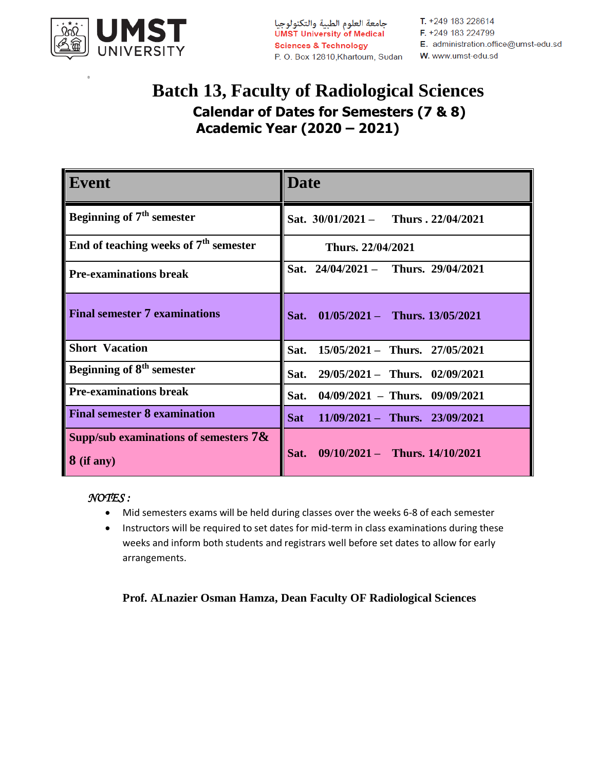

 $\bf{0}$ 

P.O. Box 12810, Khartoum, Sudan W. www.umst-edu.sd

T. +249 183 228614

# **Batch 13, Faculty of Radiological Sciences Calendar of Dates for Semesters (7 & 8) Academic Year (2020 – 2021)**

| Event                                                  | <b>Date</b>                                    |
|--------------------------------------------------------|------------------------------------------------|
| Beginning of $7th$ semester                            | Sat. $30/01/2021 -$ Thurs . 22/04/2021         |
| End of teaching weeks of $7th$ semester                | Thurs. 22/04/2021                              |
| <b>Pre-examinations break</b>                          | Sat. 24/04/2021 - Thurs. 29/04/2021            |
| <b>Final semester 7 examinations</b>                   | Sat.<br>$01/05/2021 -$ Thurs. 13/05/2021       |
| <b>Short Vacation</b>                                  | Sat. 15/05/2021 - Thurs. 27/05/2021            |
| Beginning of 8 <sup>th</sup> semester                  | $29/05/2021 -$ Thurs. 02/09/2021<br>Sat.       |
| <b>Pre-examinations break</b>                          | $04/09/2021$ – Thurs. $09/09/2021$<br>Sat.     |
| <b>Final semester 8 examination</b>                    | $11/09/2021 -$ Thurs. 23/09/2021<br><b>Sat</b> |
| Supp/sub examinations of semesters $7\&$<br>8 (if any) | $09/10/2021 -$ Thurs. $14/10/2021$<br>Sat.     |

*NOTES :* 

- Mid semesters exams will be held during classes over the weeks 6-8 of each semester
- Instructors will be required to set dates for mid-term in class examinations during these weeks and inform both students and registrars well before set dates to allow for early arrangements.

#### **Prof. ALnazier Osman Hamza, Dean Faculty OF Radiological Sciences**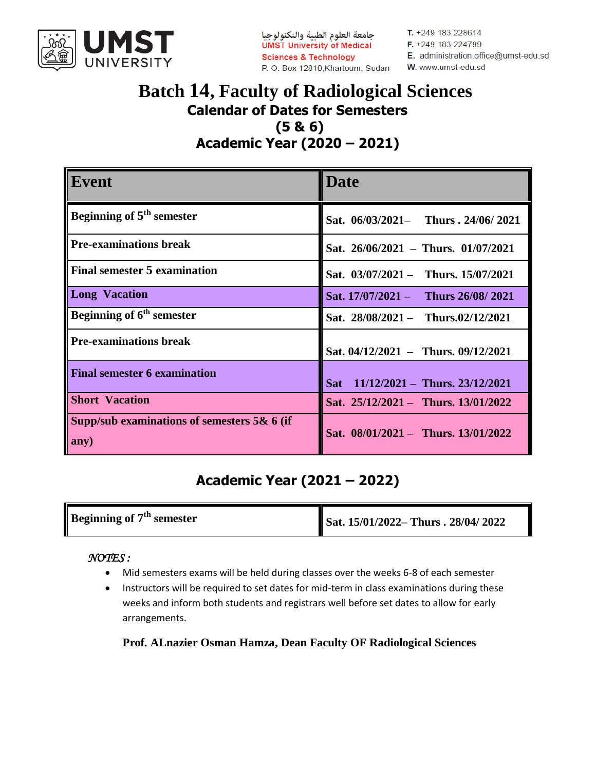

جامعة العلوم الطبية والتكنولوجيا **UMST University of Medical Sciences & Technology** P.O. Box 12810, Khartoum, Sudan T. +249 183 228614 F. +249 183 224799 E. administration.office@umst-edu.sd W. www.umst-edu.sd

### **Batch 14, Faculty of Radiological Sciences Calendar of Dates for Semesters (5 & 6) Academic Year (2020 – 2021)**

| Event                                                 | Date                                    |
|-------------------------------------------------------|-----------------------------------------|
| Beginning of 5 <sup>th</sup> semester                 | Sat. 06/03/2021- Thurs . 24/06/ 2021    |
| <b>Pre-examinations break</b>                         | Sat. $26/06/2021$ – Thurs. 01/07/2021   |
| <b>Final semester 5 examination</b>                   | Sat. 03/07/2021 - Thurs. 15/07/2021     |
| <b>Long Vacation</b>                                  | Sat. 17/07/2021 - Thurs 26/08/2021      |
| Beginning of 6 <sup>th</sup> semester                 | Sat. 28/08/2021 - Thurs.02/12/2021      |
| <b>Pre-examinations break</b>                         | Sat. $04/12/2021 -$ Thurs. $09/12/2021$ |
| <b>Final semester 6 examination</b>                   | Sat $11/12/2021 -$ Thurs. 23/12/2021    |
| <b>Short Vacation</b>                                 | Sat. 25/12/2021 - Thurs. 13/01/2022     |
| Supp/sub examinations of semesters $5& 6$ (if<br>any) | Sat. 08/01/2021 - Thurs. 13/01/2022     |

## **Academic Year (2021 – 2022)**

| <b>Beginning of 7<sup>th</sup> semester</b> | Sat. 15/01/2022– Thurs . 28/04/ 2022 |
|---------------------------------------------|--------------------------------------|
|                                             |                                      |

#### *NOTES :*

- Mid semesters exams will be held during classes over the weeks 6-8 of each semester
- Instructors will be required to set dates for mid-term in class examinations during these weeks and inform both students and registrars well before set dates to allow for early arrangements.

**Prof. ALnazier Osman Hamza, Dean Faculty OF Radiological Sciences**